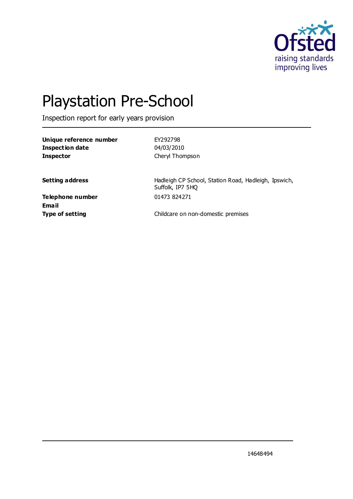

# Playstation Pre-School

Inspection report for early years provision

**Unique reference number** EY292798 **Inspection date** 04/03/2010 **Inspector** Cheryl Thompson

**Setting address Hadleigh CP School, Station Road, Hadleigh, Ipswich,** Suffolk, IP7 5HQ

**Telephone number** 01473 824271 **Email**

**Type of setting** Childcare on non-domestic premises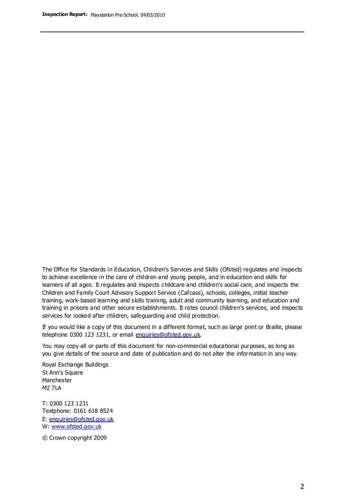The Office for Standards in Education, Children's Services and Skills (Ofsted) regulates and inspects to achieve excellence in the care of children and young people, and in education and skills for learners of all ages. It regulates and inspects childcare and children's social care, and inspects the Children and Family Court Advisory Support Service (Cafcass), schools, colleges, initial teacher training, work-based learning and skills training, adult and community learning, and education and training in prisons and other secure establishments. It rates council children's services, and inspects services for looked after children, safeguarding and child protection.

If you would like a copy of this document in a different format, such as large print or Braille, please telephone 0300 123 1231, or email enquiries@ofsted.gov.uk.

You may copy all or parts of this document for non-commercial educational purposes, as long as you give details of the source and date of publication and do not alter the information in any way.

Royal Exchange Buildings St Ann's Square Manchester M2 7LA

T: 0300 123 1231 Textphone: 0161 618 8524 E: enquiries@ofsted.gov.uk W: [www.ofsted.gov.uk](http://www.ofsted.gov.uk/)

© Crown copyright 2009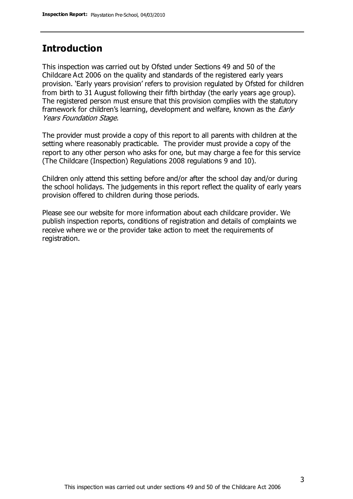## **Introduction**

This inspection was carried out by Ofsted under Sections 49 and 50 of the Childcare Act 2006 on the quality and standards of the registered early years provision. 'Early years provision' refers to provision regulated by Ofsted for children from birth to 31 August following their fifth birthday (the early years age group). The registered person must ensure that this provision complies with the statutory framework for children's learning, development and welfare, known as the *Early* Years Foundation Stage.

The provider must provide a copy of this report to all parents with children at the setting where reasonably practicable. The provider must provide a copy of the report to any other person who asks for one, but may charge a fee for this service (The Childcare (Inspection) Regulations 2008 regulations 9 and 10).

Children only attend this setting before and/or after the school day and/or during the school holidays. The judgements in this report reflect the quality of early years provision offered to children during those periods.

Please see our website for more information about each childcare provider. We publish inspection reports, conditions of registration and details of complaints we receive where we or the provider take action to meet the requirements of registration.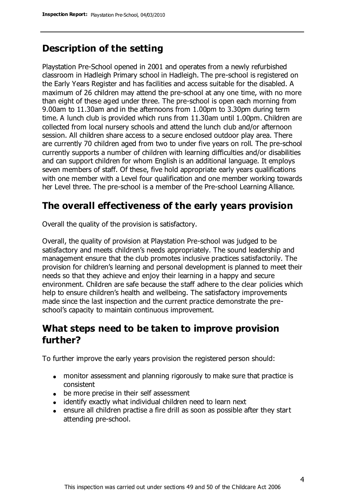# **Description of the setting**

Playstation Pre-School opened in 2001 and operates from a newly refurbished classroom in Hadleigh Primary school in Hadleigh. The pre-school is registered on the Early Years Register and has facilities and access suitable for the disabled. A maximum of 26 children may attend the pre-school at any one time, with no more than eight of these aged under three. The pre-school is open each morning from 9.00am to 11.30am and in the afternoons from 1.00pm to 3.30pm during term time. A lunch club is provided which runs from 11.30am until 1.00pm. Children are collected from local nursery schools and attend the lunch club and/or afternoon session. All children share access to a secure enclosed outdoor play area. There are currently 70 children aged from two to under five years on roll. The pre-school currently supports a number of children with learning difficulties and/or disabilities and can support children for whom English is an additional language. It employs seven members of staff. Of these, five hold appropriate early years qualifications with one member with a Level four qualification and one member working towards her Level three. The pre-school is a member of the Pre-school Learning Alliance.

# **The overall effectiveness of the early years provision**

Overall the quality of the provision is satisfactory.

Overall, the quality of provision at Playstation Pre-school was judged to be satisfactory and meets children's needs appropriately. The sound leadership and management ensure that the club promotes inclusive practices satisfactorily. The provision for children's learning and personal development is planned to meet their needs so that they achieve and enjoy their learning in a happy and secure environment. Children are safe because the staff adhere to the clear policies which help to ensure children's health and wellbeing. The satisfactory improvements made since the last inspection and the current practice demonstrate the preschool's capacity to maintain continuous improvement.

## **What steps need to be taken to improve provision further?**

To further improve the early years provision the registered person should:

- monitor assessment and planning rigorously to make sure that practice is consistent
- be more precise in their self assessment
- identify exactly what individual children need to learn next
- ensure all children practise a fire drill as soon as possible after they start attending pre-school.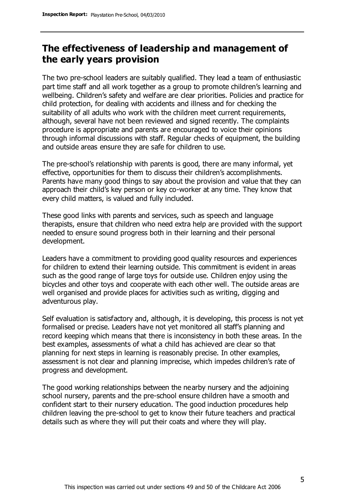## **The effectiveness of leadership and management of the early years provision**

The two pre-school leaders are suitably qualified. They lead a team of enthusiastic part time staff and all work together as a group to promote children's learning and wellbeing. Children's safety and welfare are clear priorities. Policies and practice for child protection, for dealing with accidents and illness and for checking the suitability of all adults who work with the children meet current requirements, although, several have not been reviewed and signed recently. The complaints procedure is appropriate and parents are encouraged to voice their opinions through informal discussions with staff. Regular checks of equipment, the building and outside areas ensure they are safe for children to use.

The pre-school's relationship with parents is good, there are many informal, yet effective, opportunities for them to discuss their children's accomplishments. Parents have many good things to say about the provision and value that they can approach their child's key person or key co-worker at any time. They know that every child matters, is valued and fully included.

These good links with parents and services, such as speech and language therapists, ensure that children who need extra help are provided with the support needed to ensure sound progress both in their learning and their personal development.

Leaders have a commitment to providing good quality resources and experiences for children to extend their learning outside. This commitment is evident in areas such as the good range of large toys for outside use. Children enjoy using the bicycles and other toys and cooperate with each other well. The outside areas are well organised and provide places for activities such as writing, digging and adventurous play.

Self evaluation is satisfactory and, although, it is developing, this process is not yet formalised or precise. Leaders have not yet monitored all staff's planning and record keeping which means that there is inconsistency in both these areas. In the best examples, assessments of what a child has achieved are clear so that planning for next steps in learning is reasonably precise. In other examples, assessment is not clear and planning imprecise, which impedes children's rate of progress and development.

The good working relationships between the nearby nursery and the adjoining school nursery, parents and the pre-school ensure children have a smooth and confident start to their nursery education. The good induction procedures help children leaving the pre-school to get to know their future teachers and practical details such as where they will put their coats and where they will play.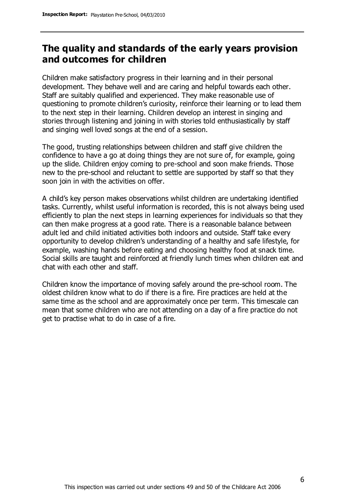## **The quality and standards of the early years provision and outcomes for children**

Children make satisfactory progress in their learning and in their personal development. They behave well and are caring and helpful towards each other. Staff are suitably qualified and experienced. They make reasonable use of questioning to promote children's curiosity, reinforce their learning or to lead them to the next step in their learning. Children develop an interest in singing and stories through listening and joining in with stories told enthusiastically by staff and singing well loved songs at the end of a session.

The good, trusting relationships between children and staff give children the confidence to have a go at doing things they are not sure of, for example, going up the slide. Children enjoy coming to pre-school and soon make friends. Those new to the pre-school and reluctant to settle are supported by staff so that they soon join in with the activities on offer.

A child's key person makes observations whilst children are undertaking identified tasks. Currently, whilst useful information is recorded, this is not always being used efficiently to plan the next steps in learning experiences for individuals so that they can then make progress at a good rate. There is a reasonable balance between adult led and child initiated activities both indoors and outside. Staff take every opportunity to develop children's understanding of a healthy and safe lifestyle, for example, washing hands before eating and choosing healthy food at snack time. Social skills are taught and reinforced at friendly lunch times when children eat and chat with each other and staff.

Children know the importance of moving safely around the pre-school room. The oldest children know what to do if there is a fire. Fire practices are held at the same time as the school and are approximately once per term. This timescale can mean that some children who are not attending on a day of a fire practice do not get to practise what to do in case of a fire.